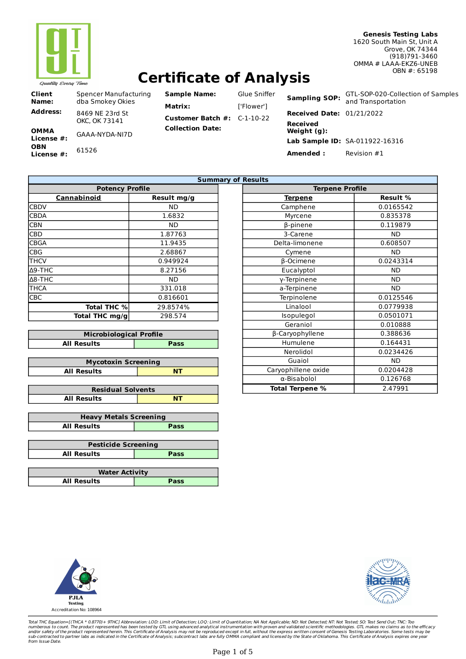

# **Certificate of Analysis**

| Spencer Manufacturing<br>dba Smokey Okies |
|-------------------------------------------|
| 8469 NF 23rd St<br>OKC. OK 73141          |
| GAAA-NYDA-NI7D                            |
| 61526                                     |
|                                           |

| <b>Sample Name:</b>                  | Glue Sniffe |
|--------------------------------------|-------------|
| Matrix:                              | ['Flower']  |
| <b>Customer Batch #:</b> $C-1-10-22$ |             |
| <b>Collection Date:</b>              |             |

ue Sniffer **Sampling SOP:** GTL-SOP-020-Collection of Samples and Transportation **Received Date:** 01/21/2022 **Received Weight (g): Lab Sample ID:** SA-011922-16316 **Amended :** Revision #1

| <b>Summary of</b>      |             |  |  |  |
|------------------------|-------------|--|--|--|
| <b>Potency Profile</b> |             |  |  |  |
| Cannabinoid            | Result mg/g |  |  |  |
| <b>CBDV</b>            | ND          |  |  |  |
| <b>CBDA</b>            | 1.6832      |  |  |  |
| <b>CBN</b>             | ND          |  |  |  |
| <b>CBD</b>             | 1.87763     |  |  |  |
| <b>CBGA</b>            | 11.9435     |  |  |  |
| <b>CBG</b>             | 2.68867     |  |  |  |
| <b>THCV</b>            | 0.949924    |  |  |  |
| $\Delta$ 9-THC         | 8.27156     |  |  |  |
| $\Delta$ 8-THC         | ND          |  |  |  |
| <b>THCA</b>            | 331.018     |  |  |  |
| <b>CBC</b>             | 0.816601    |  |  |  |
| <b>Total THC %</b>     | 29.8574%    |  |  |  |
| Total THC mg/g         | 298.574     |  |  |  |

| <b>Microbiological Profile</b> |  |  |  |  |
|--------------------------------|--|--|--|--|
| <b>All Results</b><br>Pass     |  |  |  |  |

| <b>Mycotoxin Screening</b> |  |  |
|----------------------------|--|--|
| <b>All Results</b><br>AP.  |  |  |

| <b>Residual Solvents</b> |    |  |
|--------------------------|----|--|
| <b>All Results</b>       | NT |  |

| <b>Heavy Metals Screening</b> |             |  |  |
|-------------------------------|-------------|--|--|
| <b>All Results</b>            | <b>Pass</b> |  |  |

| <b>Pesticide Screening</b> |             |  |  |
|----------------------------|-------------|--|--|
| <b>All Results</b>         | <b>Pass</b> |  |  |
|                            |             |  |  |

| <b>Water Activity</b> |      |  |
|-----------------------|------|--|
| <b>All Results</b>    | Pass |  |

| <b>Results</b>         |                 |  |  |
|------------------------|-----------------|--|--|
| <b>Terpene Profile</b> |                 |  |  |
| <b>Terpene</b>         | <b>Result %</b> |  |  |
| Camphene               | 0.0165542       |  |  |
| Myrcene                | 0.835378        |  |  |
| β-pinene               | 0.119879        |  |  |
| 3-Carene               | <b>ND</b>       |  |  |
| Delta-limonene         | 0.608507        |  |  |
| Cymene                 | <b>ND</b>       |  |  |
| β-Ocimene              | 0.0243314       |  |  |
| Eucalyptol             | ND              |  |  |
| y-Terpinene            | <b>ND</b>       |  |  |
| a-Terpinene            | <b>ND</b>       |  |  |
| Terpinolene            | 0.0125546       |  |  |
| Linalool               | 0.0779938       |  |  |
| Isopulegol             | 0.0501071       |  |  |
| Geraniol               | 0.010888        |  |  |
| β-Caryophyllene        | 0.388636        |  |  |
| Humulene               | 0.164431        |  |  |
| Nerolidol              | 0.0234426       |  |  |
| Guaiol                 | <b>ND</b>       |  |  |
| Caryophillene oxide    | 0.0204428       |  |  |
| α-Bisabolol            | 0.126768        |  |  |
| <b>Total Terpene %</b> | 2.47991         |  |  |





Total THC Equation=[(THCA \* 0.8770)+ 9THC] Abbreviation: LOD: Limit of Detection; LOQ: Limit of Quantitation; WA Not Applicable; ND: Not Detected; NT: Not Tested; SO: Test Send Out; TNC: Too<br>numberous to count. The product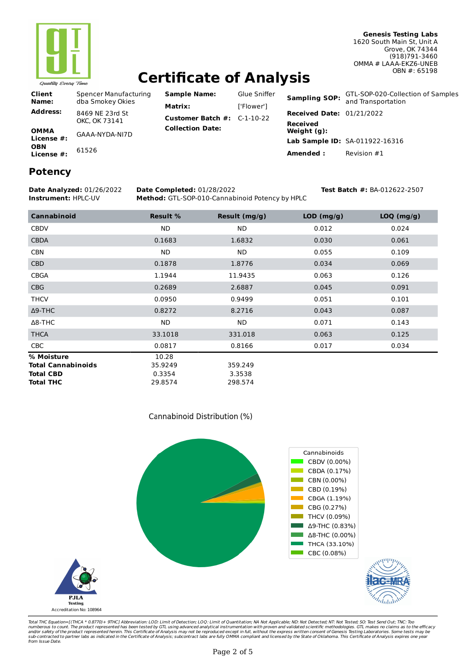

# **Certificate of Analysis**

**Sample Name:** Glue Sniffer **Matrix:** ['Flower'] **Customer Batch #:** C-1-10-22

| Client<br>Name:    | Spencer Manufacturing<br>dba Smokey Okies |
|--------------------|-------------------------------------------|
| Address:           | 8469 NF 23rd St<br>OKC. OK 73141          |
| ΟΜΜΑ<br>License #: | GAAA-NYDA-NI7D                            |
| OBN<br>License #:  | 61526                                     |
|                    |                                           |

**Sampling SOP:** GTL-SOP-020-Collection of Samples and Transportation

**Received Date:** 01/21/2022

**Amended :** Revision #1

**Lab Sample ID:** SA-011922-16316

**Received Weight (g):**

### **Potency**

#### **Date Analyzed:** 01/26/2022 **Date Completed:** 01/28/2022 **Test Batch #:** BA-012622-2507

**Collection Date:**

**Instrument:** HPLC-UV **Method:** GTL-SOP-010-Cannabinoid Potency by HPLC

**Cannabinoid Result % Result (mg/g) LOD (mg/g) LOQ (mg/g)** CBDV ND ND 0.012 0.024 CBDA 0.1683 1.6832 0.030 0.061 CBN ND ND 0.055 0.109 CBD 0.1878 1.8776 0.034 0.069 CBGA 1.1944 11.9435 0.063 0.126 CBG 0.2689 2.6887 0.045 0.091 THCV 0.0950 0.9499 0.051 0.101 Δ9-THC 0.8272 8.2716 0.043 0.087 Δ8-THC ND ND 0.071 0.143 THCA 33.1018 331.018 0.063 0.125 CBC 0.0817 0.8166 0.017 0.034 **% Moisture** 10.28 **Total Cannabinoids** 35.9249 359.249 **Total CBD** 0.3354 3.3538

Cannabinoid Distribution (%)

**Total THC** 29.8574 298.574

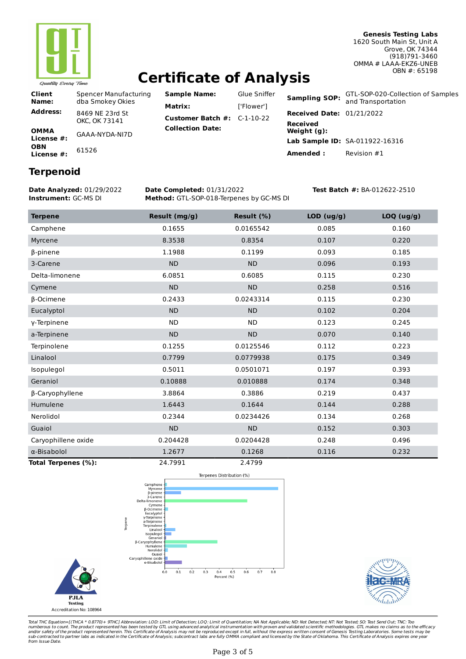

# **Certificate of Analysis**

**Client Name:** Spencer Manufacturing dba Smokey Okies **Address:** 8469 NE 23rd St OKC, OK 73141 **OMMA License #:** GAAA-NYDA-NI7D **OBN License #:** <sup>61526</sup>

**Sample Name:** Glue Sniffer **Matrix:** ['Flower'] **Customer Batch #:** C-1-10-22 **Collection Date:**

**Received**

**Sampling SOP:** GTL-SOP-020-Collection of Samples and Transportation **Received Date:** 01/21/2022 **Weight (g): Lab Sample ID:** SA-011922-16316 **Amended :** Revision #1

## **Terpenoid**

**Date Analyzed:** 01/29/2022 **Date Completed:** 01/31/2022 **Test Batch #:** BA-012622-2510 **Instrument:** GC-MS DI **Method:** GTL-SOP-018-Terpenes by GC-MS DI

| <b>Terpene</b>      | Result (mg/g) | Result (%) | LOD (ug/g) | LOQ (ug/g) |
|---------------------|---------------|------------|------------|------------|
| Camphene            | 0.1655        | 0.0165542  | 0.085      | 0.160      |
| Myrcene             | 8.3538        | 0.8354     | 0.107      | 0.220      |
| β-pinene            | 1.1988        | 0.1199     | 0.093      | 0.185      |
| 3-Carene            | <b>ND</b>     | <b>ND</b>  | 0.096      | 0.193      |
| Delta-limonene      | 6.0851        | 0.6085     | 0.115      | 0.230      |
| Cymene              | <b>ND</b>     | <b>ND</b>  | 0.258      | 0.516      |
| $\beta$ -Ocimene    | 0.2433        | 0.0243314  | 0.115      | 0.230      |
| Eucalyptol          | <b>ND</b>     | <b>ND</b>  | 0.102      | 0.204      |
| y-Terpinene         | <b>ND</b>     | <b>ND</b>  | 0.123      | 0.245      |
| a-Terpinene         | <b>ND</b>     | <b>ND</b>  | 0.070      | 0.140      |
| Terpinolene         | 0.1255        | 0.0125546  | 0.112      | 0.223      |
| Linalool            | 0.7799        | 0.0779938  | 0.175      | 0.349      |
| Isopulegol          | 0.5011        | 0.0501071  | 0.197      | 0.393      |
| Geraniol            | 0.10888       | 0.010888   | 0.174      | 0.348      |
| β-Caryophyllene     | 3.8864        | 0.3886     | 0.219      | 0.437      |
| Humulene            | 1.6443        | 0.1644     | 0.144      | 0.288      |
| Nerolidol           | 0.2344        | 0.0234426  | 0.134      | 0.268      |
| Guaiol              | <b>ND</b>     | <b>ND</b>  | 0.152      | 0.303      |
| Caryophillene oxide | 0.204428      | 0.0204428  | 0.248      | 0.496      |
| $\alpha$ -Bisabolol | 1.2677        | 0.1268     | 0.116      | 0.232      |
| Total Terpenes (%): | 24.7991       | 2.4799     |            |            |



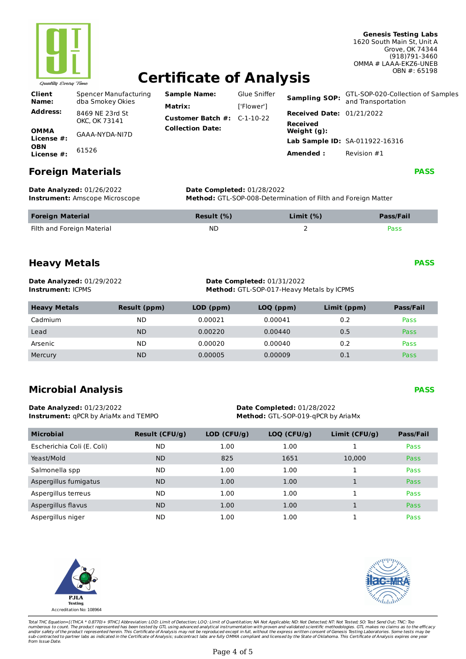

# **Certificate of Analysis**

| <b>Client</b><br>Name:    | Spencer Manufacturing<br>dba Smokey Okies | <b>Sample Name:</b><br>Matrix: | Glue Sniffer<br>['Flower'] | <b>Sampling SOP:</b>                                | GTL-SOP-020-Collection of Samples<br>and Transportation |
|---------------------------|-------------------------------------------|--------------------------------|----------------------------|-----------------------------------------------------|---------------------------------------------------------|
| <b>Address:</b>           | 8469 NE 23rd St<br>OKC. OK 73141          | Customer Batch #:              | C-1-10-22                  | <b>Received Date: 01/21/2022</b><br><b>Received</b> |                                                         |
| <b>OMMA</b><br>License #: | GAAA-NYDA-NI7D                            | <b>Collection Date:</b>        |                            | Weight (g):                                         |                                                         |
| <b>OBN</b><br>License #:  | 61526                                     |                                |                            | Amended:                                            | Lab Sample ID: SA-011922-16316<br>Revision #1           |

### **Foreign Materials**

**Date Analyzed:** 01/26/2022 **Date Completed:** 01/28/2022 **Instrument:** Amscope Microscope **Method:** GTL-SOP-008-Determination of Filth and Foreign Matter

| <b>Foreign Material</b>    | Result $(\%)$ | Limit $(%)$ | <b>Pass/Fail</b> |
|----------------------------|---------------|-------------|------------------|
| Filth and Foreign Material | ND.           |             | Pass             |

## **Heavy Metals**

**PASS** 

**PASS** 

| <b>Date Analyzed: 01/29/2022</b> | <b>Date Completed: 01/31/2022</b>                |
|----------------------------------|--------------------------------------------------|
| <b>Instrument:</b> ICPMS         | <b>Method:</b> GTL-SOP-017-Heavy Metals by ICPMS |

| <b>Heavy Metals</b> | Result (ppm) | $LOD$ (ppm) | LOQ (ppm) | Limit (ppm) | <b>Pass/Fail</b> |
|---------------------|--------------|-------------|-----------|-------------|------------------|
| Cadmium             | ΝD           | 0.00021     | 0.00041   | 0.2         | Pass             |
| Lead                | <b>ND</b>    | 0.00220     | 0.00440   | 0.5         | Pass             |
| Arsenic             | <b>ND</b>    | 0.00020     | 0.00040   | 0.2         | Pass             |
| Mercury             | <b>ND</b>    | 0.00005     | 0.00009   | 0.1         | Pass             |

## **Microbial Analysis**

**PASS** 

**Date Analyzed:** 01/23/2022 **Date Completed:** 01/28/2022 **Instrument:**  $qPCR$  by AriaMx and TEMPO **Method:** GTL-SOP-019-qPCR by AriaMx

| <b>Microbial</b>           | <b>Result (CFU/g)</b> | $LOD$ (CFU/g) | $LOQ$ (CFU/g) | Limit ( $CFU/g$ ) | <b>Pass/Fail</b> |
|----------------------------|-----------------------|---------------|---------------|-------------------|------------------|
| Escherichia Coli (E. Coli) | ND.                   | 1.00          | 1.00          |                   | Pass             |
| Yeast/Mold                 | <b>ND</b>             | 825           | 1651          | 10,000            | Pass             |
| Salmonella spp             | <b>ND</b>             | 1.00          | 1.00          |                   | Pass             |
| Aspergillus fumigatus      | <b>ND</b>             | 1.00          | 1.00          |                   | Pass             |
| Aspergillus terreus        | <b>ND</b>             | 1.00          | 1.00          |                   | Pass             |
| Aspergillus flavus         | <b>ND</b>             | 1.00          | 1.00          |                   | Pass             |
| Aspergillus niger          | ND                    | 1.00          | 1.00          |                   | Pass             |